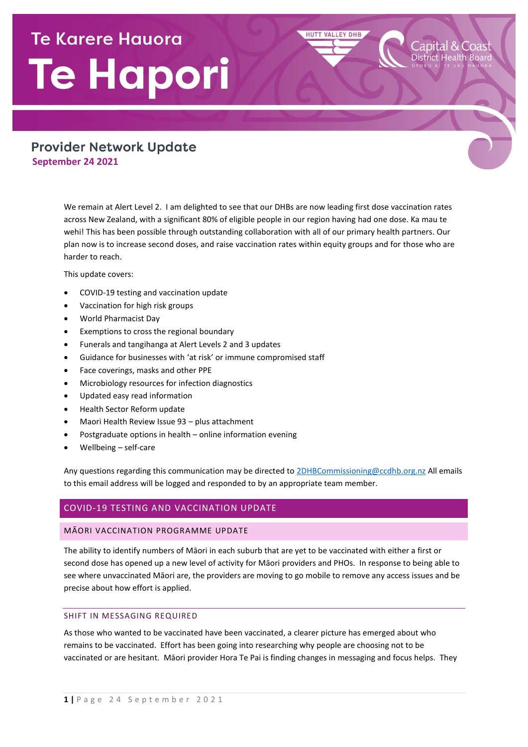# **Te Karere Hauora** Te Hapori

## **Provider Network Update September 24 2021**

We remain at Alert Level 2. I am delighted to see that our DHBs are now leading first dose vaccination rates across New Zealand, with a significant 80% of eligible people in our region having had one dose. Ka mau te wehi! This has been possible through outstanding collaboration with all of our primary health partners. Our plan now is to increase second doses, and raise vaccination rates within equity groups and for those who are harder to reach.

**HUTT VALLEY DHB** 

apital & Coast

This update covers:

- COVID-19 testing and vaccination update
- Vaccination for high risk groups
- World Pharmacist Day
- Exemptions to cross the regional boundary
- Funerals and tangihanga at Alert Levels 2 and 3 updates
- Guidance for businesses with 'at risk' or immune compromised staff
- Face coverings, masks and other PPE
- Microbiology resources for infection diagnostics
- Updated easy read information
- Health Sector Reform update
- Maori Health Review Issue 93 plus attachment
- Postgraduate options in health online information evening
- Wellbeing self-care

Any questions regarding this communication may be directed t[o 2DHBCommissioning@ccdhb.org.nz](mailto:2DHBCommissioning@ccdhb.org.nz) All emails to this email address will be logged and responded to by an appropriate team member.

## COVID-19 TESTING AND VACCINATION UPDATE

#### MĀORI VACCINATION PROGRAMME UPDATE

The ability to identify numbers of Māori in each suburb that are yet to be vaccinated with either a first or second dose has opened up a new level of activity for Māori providers and PHOs. In response to being able to see where unvaccinated Māori are, the providers are moving to go mobile to remove any access issues and be precise about how effort is applied.

#### SHIFT IN MESSAGING REQUIRED

As those who wanted to be vaccinated have been vaccinated, a clearer picture has emerged about who remains to be vaccinated. Effort has been going into researching why people are choosing not to be vaccinated or are hesitant. Māori provider Hora Te Pai is finding changes in messaging and focus helps. They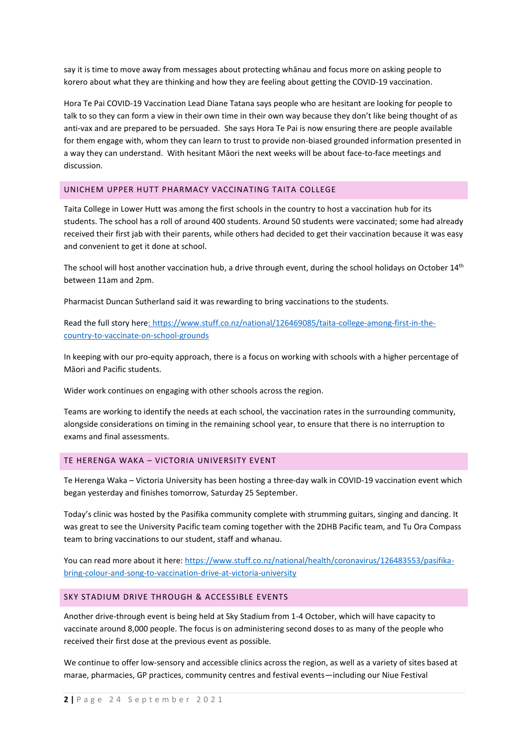say it is time to move away from messages about protecting whānau and focus more on asking people to korero about what they are thinking and how they are feeling about getting the COVID-19 vaccination.

Hora Te Pai COVID-19 Vaccination Lead Diane Tatana says people who are hesitant are looking for people to talk to so they can form a view in their own time in their own way because they don't like being thought of as anti-vax and are prepared to be persuaded. She says Hora Te Pai is now ensuring there are people available for them engage with, whom they can learn to trust to provide non-biased grounded information presented in a way they can understand. With hesitant Māori the next weeks will be about face-to-face meetings and discussion.

## UNICHEM UPPER HUTT PHARMACY VACCINATING TAITA COLLEGE

Taita College in Lower Hutt was among the first schools in the country to host a vaccination hub for its students. The school has a roll of around 400 students. Around 50 students were vaccinated; some had already received their first jab with their parents, while others had decided to get their vaccination because it was easy and convenient to get it done at school.

The school will host another vaccination hub, a drive through event, during the school holidays on October 14<sup>th</sup> between 11am and 2pm.

Pharmacist Duncan Sutherland said it was rewarding to bring vaccinations to the students.

Read the full story here: [https://www.stuff.co.nz/national/126469085/taita-college-among-first-in-the](https://www.stuff.co.nz/national/126469085/taita-college-among-first-in-the-country-to-vaccinate-on-school-grounds)[country-to-vaccinate-on-school-grounds](https://www.stuff.co.nz/national/126469085/taita-college-among-first-in-the-country-to-vaccinate-on-school-grounds)

In keeping with our pro-equity approach, there is a focus on working with schools with a higher percentage of Māori and Pacific students.

Wider work continues on engaging with other schools across the region.

Teams are working to identify the needs at each school, the vaccination rates in the surrounding community, alongside considerations on timing in the remaining school year, to ensure that there is no interruption to exams and final assessments.

## TE HERENGA WAKA – VICTORIA UNIVERSITY EVENT

[Te Herenga Waka](https://www.facebook.com/WellingtonUni/?__cft__%5b0%5d=AZWwblNYkNymEw8YJnECoVoBcogKgQm4NRGI_-kdGDZ_0avFvnO4WYb2EG91eNnKKnl7Ad42YvWG3JnPDhLIK0_XtohVC8szlG_QIONAzsIvQk6_bpm3kneqoc-HQYeHCo8rXoYmSez7RfnKIIgXi8py&__tn__=kK-R) – Victoria University has been hosting a three-day walk in COVID-19 vaccination event which began yesterday and finishes tomorrow, Saturday 25 September.

Today's clinic was hosted by the Pasifika community complete with strumming guitars, singing and dancing. It was great to see the University Pacific team coming together with the 2DHB Pacific team, and Tu Ora Compass team to bring vaccinations to our student, staff and whanau.

You can read more about it here[: https://www.stuff.co.nz/national/health/coronavirus/126483553/pasifika](https://www.stuff.co.nz/national/health/coronavirus/126483553/pasifika-bring-colour-and-song-to-vaccination-drive-at-victoria-university)[bring-colour-and-song-to-vaccination-drive-at-victoria-university](https://www.stuff.co.nz/national/health/coronavirus/126483553/pasifika-bring-colour-and-song-to-vaccination-drive-at-victoria-university)

#### SKY STADIUM DRIVE THROUGH & ACCESSIBLE EVENTS

Another drive-through event is being held at Sky Stadium from 1-4 October, which will have capacity to vaccinate around 8,000 people. The focus is on administering second doses to as many of the people who received their first dose at the previous event as possible.

We continue to offer low-sensory and accessible clinics across the region, as well as a variety of sites based at marae, pharmacies, GP practices, community centres and festival events—including our Niue Festival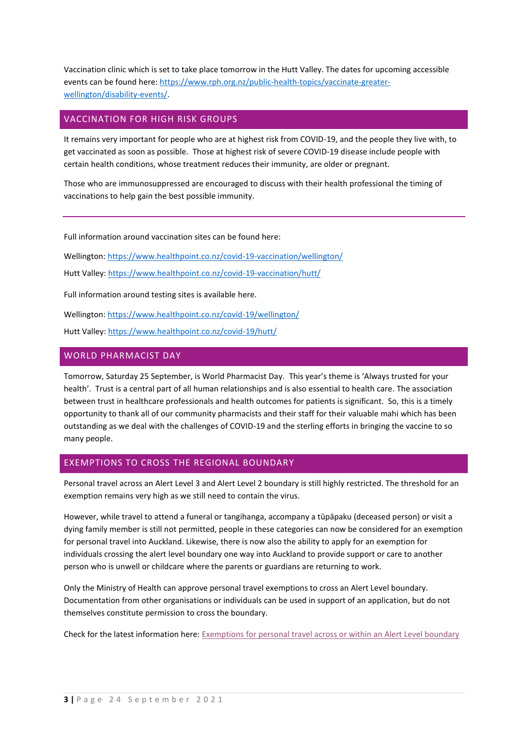Vaccination clinic which is set to take place tomorrow in the Hutt Valley. The dates for upcoming accessible events can be found here: [https://www.rph.org.nz/public-health-topics/vaccinate-greater](https://www.rph.org.nz/public-health-topics/vaccinate-greater-wellington/disability-events/)[wellington/disability-events/.](https://www.rph.org.nz/public-health-topics/vaccinate-greater-wellington/disability-events/)

## VACCINATION FOR HIGH RISK GROUPS

It remains very important for people who are at highest risk from COVID-19, and the people they live with, to get vaccinated as soon as possible. Those at highest risk of severe COVID-19 disease include people with certain health conditions, whose treatment reduces their immunity, are older or pregnant.

Those who are immunosuppressed are encouraged to discuss with their health professional the timing of vaccinations to help gain the best possible immunity.

Full information around vaccination sites can be found here:

Wellington[: https://www.healthpoint.co.nz/covid-19-vaccination/wellington/](https://www.healthpoint.co.nz/covid-19-vaccination/wellington/)

Hutt Valley:<https://www.healthpoint.co.nz/covid-19-vaccination/hutt/>

Full information around testing sites is available here.

Wellington[: https://www.healthpoint.co.nz/covid-19/wellington/](https://www.healthpoint.co.nz/covid-19/wellington/)

Hutt Valley:<https://www.healthpoint.co.nz/covid-19/hutt/>

## WORLD PHARMACIST DAY

Tomorrow, Saturday 25 September, is World Pharmacist Day. This year's theme is 'Always trusted for your health'. Trust is a central part of all human relationships and is also essential to health care. The association between trust in healthcare professionals and health outcomes for patients is significant. So, this is a timely opportunity to thank all of our community pharmacists and their staff for their valuable mahi which has been outstanding as we deal with the challenges of COVID-19 and the sterling efforts in bringing the vaccine to so many people.

## EXEMPTIONS TO CROSS THE REGIONAL BOUNDARY

Personal travel across an Alert Level 3 and Alert Level 2 boundary is still highly restricted. The threshold for an exemption remains very high as we still need to contain the virus.

However, while travel to attend a funeral or tangihanga, accompany a tūpāpaku (deceased person) or visit a dying family member is still not permitted, people in these categories can now be considered for an exemption for personal travel into Auckland. Likewise, there is now also the ability to apply for an exemption for individuals crossing the alert level boundary one way into Auckland to provide support or care to another person who is unwell or childcare where the parents or guardians are returning to work.

Only the Ministry of Health can approve personal travel exemptions to cross an Alert Level boundary. Documentation from other organisations or individuals can be used in support of an application, but do not themselves constitute permission to cross the boundary.

Check for the latest information here[: Exemptions for personal travel across or within an Alert Level boundary](https://www.health.govt.nz/our-work/diseases-and-conditions/covid-19-novel-coronavirus/covid-19-health-advice-public/covid-19-travel-within-new-zealand#across)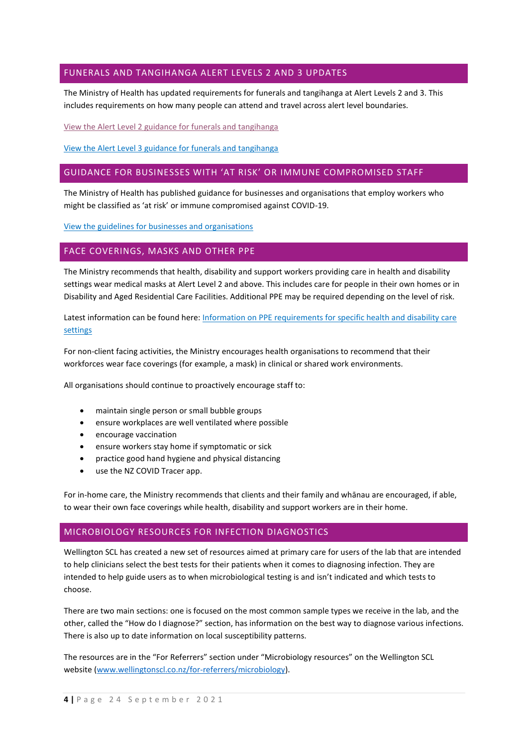## FUNERALS AND TANGIHANGA ALERT LEVELS 2 AND 3 UPDATES

The Ministry of Health has updated requirements for funerals and tangihanga at Alert Levels 2 and 3. This includes requirements on how many people can attend and travel across alert level boundaries.

[View the Alert Level 2 guidance for funerals and tangihanga](https://www.health.govt.nz/our-work/diseases-and-conditions/covid-19-novel-coronavirus/covid-19-information-specific-audiences/covid-19-deaths-funerals-and-tangihanga/alert-level-2-guidance-funeral-directors-and-cultural-and-faith-based-leaders)

[View the Alert Level 3 guidance for funerals and tangihanga](https://www.health.govt.nz/our-work/diseases-and-conditions/covid-19-novel-coronavirus/covid-19-information-specific-audiences/covid-19-deaths-funerals-and-tangihanga/alert-level-3-guidance-funeral-directors-and-cultural-and-faith-based-leaders)

## GUIDANCE FOR BUSINESSES WITH 'AT RISK' OR IMMUNE COMPROMISED STAFF

The Ministry of Health has published guidance for businesses and organisations that employ workers who might be classified as 'at risk' or immune compromised against COVID-19.

[View the guidelines for businesses and organisations](https://www.health.govt.nz/our-work/diseases-and-conditions/covid-19-novel-coronavirus/covid-19-information-specific-audiences/guidelines-businesses-and-services)

## FACE COVERINGS, MASKS AND OTHER PPE

The Ministry recommends that health, disability and support workers providing care in health and disability settings wear medical masks at Alert Level 2 and above. This includes care for people in their own homes or in Disability and Aged Residential Care Facilities. Additional PPE may be required depending on the level of risk.

Latest information can be found here: [Information on PPE requirements for specific health and disability care](https://www.health.govt.nz/our-work/diseases-and-conditions/covid-19-novel-coronavirus/covid-19-information-specific-audiences/covid-19-personal-protective-equipment-central-supply/personal-protective-equipment-use-health-and-disability-care-settings#risk)  [settings](https://www.health.govt.nz/our-work/diseases-and-conditions/covid-19-novel-coronavirus/covid-19-information-specific-audiences/covid-19-personal-protective-equipment-central-supply/personal-protective-equipment-use-health-and-disability-care-settings#risk)

For non-client facing activities, the Ministry encourages health organisations to recommend that their workforces wear face coverings (for example, a mask) in clinical or shared work environments.

All organisations should continue to proactively encourage staff to:

- maintain single person or small bubble groups
- ensure workplaces are well ventilated where possible
- encourage vaccination
- ensure workers stay home if symptomatic or sick
- practice good hand hygiene and physical distancing
- use the NZ COVID Tracer app.

For in-home care, the Ministry recommends that clients and their family and whānau are encouraged, if able, to wear their own face coverings while health, disability and support workers are in their home.

## MICROBIOLOGY RESOURCES FOR INFECTION DIAGNOSTICS

Wellington SCL has created a new set of resources aimed at primary care for users of the lab that are intended to help clinicians select the best tests for their patients when it comes to diagnosing infection. They are intended to help guide users as to when microbiological testing is and isn't indicated and which tests to choose.

There are two main sections: one is focused on the most common sample types we receive in the lab, and the other, called the "How do I diagnose?" section, has information on the best way to diagnose various infections. There is also up to date information on local susceptibility patterns.

The resources are in the "For Referrers" section under "Microbiology resources" on the Wellington SCL website [\(www.wellingtonscl.co.nz/for-referrers/microbiology\)](http://www.wellingtonscl.co.nz/for-referrers/microbiology).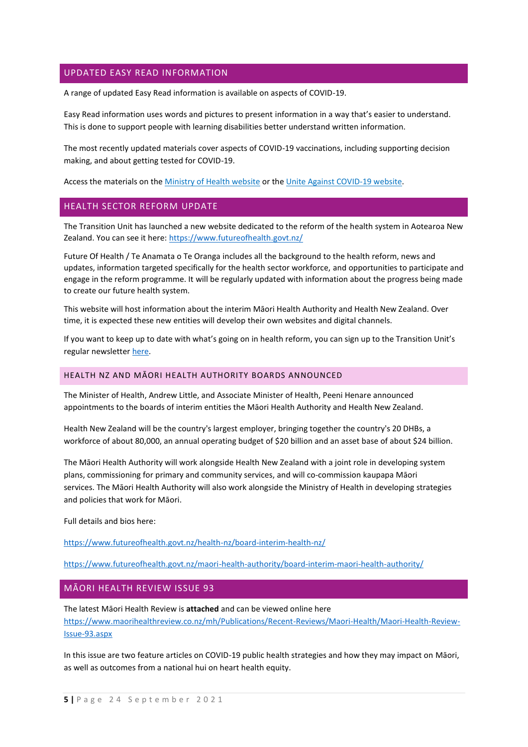## UPDATED EASY READ INFORMATION

A range of updated Easy Read information is available on aspects of COVID-19.

Easy Read information uses words and pictures to present information in a way that's easier to understand. This is done to support people with learning disabilities better understand written information.

The most recently updated materials cover aspects of COVID-19 vaccinations, including supporting decision making, and about getting tested for COVID-19.

Access the materials on the [Ministry of Health website](https://www.health.govt.nz/our-work/diseases-and-conditions/covid-19-novel-coronavirus/covid-19-resources-and-tools/covid-19-accessible-information/covid-19-easy-read-information) or th[e Unite Against COVID-19 website.](https://covid19.govt.nz/iwi-and-communities/alternate-formats/easy-read/)

## HEALTH SECTOR REFORM UPDATE

The Transition Unit has launched a new website dedicated to the reform of the health system in Aotearoa New Zealand. You can see it here[: https://www.futureofhealth.govt.nz/](https://www.futureofhealth.govt.nz/)

Future Of Health / Te Anamata o Te Oranga includes all the background to the health reform, news and updates, information targeted specifically for the health sector workforce, and opportunities to participate and engage in the reform programme. It will be regularly updated with information about the progress being made to create our future health system.

This website will host information about the interim Māori Health Authority and Health New Zealand. Over time, it is expected these new entities will develop their own websites and digital channels.

If you want to keep up to date with what's going on in health reform, you can sign up to the Transition Unit's regular newsletter [here.](https://urldefense.com/v3/__https:/www.futureofhealth.govt.nz/news/__;!!A3teau8g8Q!DHQo93qY7DzyTifvYwglimw1yq2OC09SUiYQvXQXpSx9CTAtIVFZF1PdK3CVyBwFpyny$)

#### HEALTH NZ AND MĀORI HEALTH AUTHORITY BOARDS ANNOUNCED

The Minister of Health, Andrew Little, and Associate Minister of Health, Peeni Henare announced appointments to the boards of interim entities the Māori Health Authority and Health New Zealand.

Health New Zealand will be the country's largest employer, bringing together the country's 20 DHBs, a workforce of about 80,000, an annual operating budget of \$20 billion and an asset base of about \$24 billion. 

The Māori Health Authority will work alongside Health New Zealand with a joint role in developing system plans, commissioning for primary and community services, and will co-commission kaupapa Māori services. The Māori Health Authority will also work alongside the Ministry of Health in developing strategies and policies that work for Māori. 

Full details and bios here:

<https://www.futureofhealth.govt.nz/health-nz/board-interim-health-nz/>

<https://www.futureofhealth.govt.nz/maori-health-authority/board-interim-maori-health-authority/>

#### MĀORI HEALTH REVIEW ISSUE 93

The latest Māori Health Review is **attached** and can be viewed online here [https://www.maorihealthreview.co.nz/mh/Publications/Recent-Reviews/Maori-Health/Maori-Health-Review-](https://www.maorihealthreview.co.nz/mh/Publications/Recent-Reviews/Maori-Health/Maori-Health-Review-Issue-93.aspx)[Issue-93.aspx](https://www.maorihealthreview.co.nz/mh/Publications/Recent-Reviews/Maori-Health/Maori-Health-Review-Issue-93.aspx)

In this issue are two feature articles on COVID-19 public health strategies and how they may impact on Māori, as well as outcomes from a national hui on heart health equity.